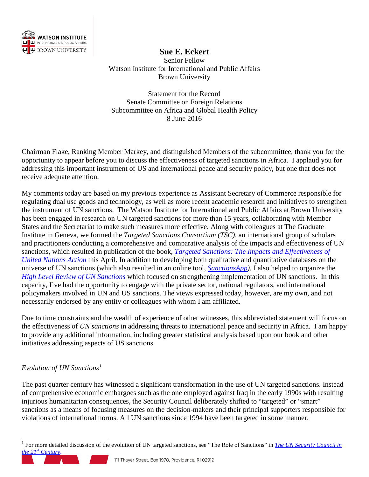

**Sue E. Eckert** Senior Fellow Watson Institute for International and Public Affairs Brown University

Statement for the Record Senate Committee on Foreign Relations Subcommittee on Africa and Global Health Policy 8 June 2016

Chairman Flake, Ranking Member Markey, and distinguished Members of the subcommittee, thank you for the opportunity to appear before you to discuss the effectiveness of targeted sanctions in Africa. I applaud you for addressing this important instrument of US and international peace and security policy, but one that does not receive adequate attention.

My comments today are based on my previous experience as Assistant Secretary of Commerce responsible for regulating dual use goods and technology, as well as more recent academic research and initiatives to strengthen the instrument of UN sanctions. The Watson Institute for International and Public Affairs at Brown University has been engaged in research on UN targeted sanctions for more than 15 years, collaborating with Member States and the Secretariat to make such measures more effective. Along with colleagues at The Graduate Institute in Geneva, we formed the *Targeted Sanctions Consortium (TSC),* an international group of scholars and practitioners conducting a comprehensive and comparative analysis of the impacts and effectiveness of UN sanctions, which resulted in publication of the book, *[Targeted Sanctions: The Impacts and Effectiveness of](http://www.cambridge.org/us/academic/subjects/politics-international-relations/international-relations-and-international-organisations/targeted-sanctions-impacts-and-effectiveness-united-nations-action)  [United Nations Action](http://www.cambridge.org/us/academic/subjects/politics-international-relations/international-relations-and-international-organisations/targeted-sanctions-impacts-and-effectiveness-united-nations-action)* this April. In addition to developing both qualitative and quantitative databases on the universe of UN sanctions (which also resulted in an online tool, *[SanctionsApp\)](http://www.sanctionsapp.com/),* I also helped to organize the *[High Level Review of UN Sanctions](http://www.hlr-unsanctions.org/)* which focused on strengthening implementation of UN sanctions. In this capacity, I've had the opportunity to engage with the private sector, national regulators, and international policymakers involved in UN and US sanctions. The views expressed today, however, are my own, and not necessarily endorsed by any entity or colleagues with whom I am affiliated.

Due to time constraints and the wealth of experience of other witnesses, this abbreviated statement will focus on the effectiveness of *UN sanctions* in addressing threats to international peace and security in Africa. I am happy to provide any additional information, including greater statistical analysis based upon our book and other initiatives addressing aspects of US sanctions.

### *Evolution of UN Sanctions[1](#page-0-0)*

The past quarter century has witnessed a significant transformation in the use of UN targeted sanctions. Instead of comprehensive economic embargoes such as the one employed against Iraq in the early 1990s with resulting injurious humanitarian consequences, the Security Council deliberately shifted to "targeted" or "smart" sanctions as a means of focusing measures on the decision-makers and their principal supporters responsible for violations of international norms. All UN sanctions since 1994 have been targeted in some manner.

<span id="page-0-0"></span><sup>&</sup>lt;sup>1</sup> For more detailed discussion of the evolution of UN targeted sanctions, see "The Role of Sanctions" in *The UN Security Council in the 21st [Century](http://www.amazon.com/The-Security-Council-21st-Century/dp/1626372594)*.

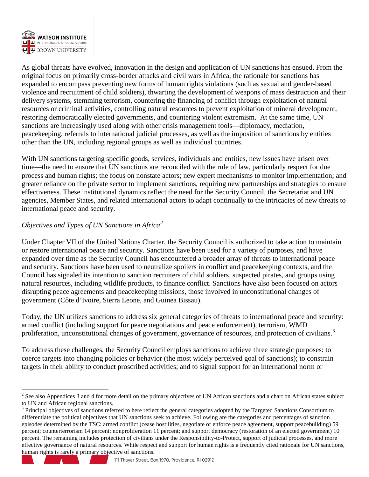

As global threats have evolved, innovation in the design and application of UN sanctions has ensued. From the original focus on primarily cross-border attacks and civil wars in Africa, the rationale for sanctions has expanded to encompass preventing new forms of human rights violations (such as sexual and gender-based violence and recruitment of child soldiers), thwarting the development of weapons of mass destruction and their delivery systems, stemming terrorism, countering the financing of conflict through exploitation of natural resources or criminal activities, controlling natural resources to prevent exploitation of mineral development, restoring democratically elected governments, and countering violent extremism. At the same time, UN sanctions are increasingly used along with other crisis management tools—diplomacy, mediation, peacekeeping, referrals to international judicial processes, as well as the imposition of sanctions by entities other than the UN, including regional groups as well as individual countries.

With UN sanctions targeting specific goods, services, individuals and entities, new issues have arisen over time—the need to ensure that UN sanctions are reconciled with the rule of law, particularly respect for due process and human rights; the focus on nonstate actors; new expert mechanisms to monitor implementation; and greater reliance on the private sector to implement sanctions, requiring new partnerships and strategies to ensure effectiveness. These institutional dynamics reflect the need for the Security Council, the Secretariat and UN agencies, Member States, and related international actors to adapt continually to the intricacies of new threats to international peace and security.

### *Objectives and Types of UN Sanctions in Africa[2](#page-1-0)*

Under Chapter VII of the United Nations Charter, the Security Council is authorized to take action to maintain or restore international peace and security. Sanctions have been used for a variety of purposes, and have expanded over time as the Security Council has encountered a broader array of threats to international peace and security. Sanctions have been used to neutralize spoilers in conflict and peacekeeping contexts, and the Council has signaled its intention to sanction recruiters of child soldiers, suspected pirates, and groups using natural resources, including wildlife products, to finance conflict. Sanctions have also been focused on actors disrupting peace agreements and peacekeeping missions, those involved in unconstitutional changes of government (Côte d'Ivoire, Sierra Leone, and Guinea Bissau).

Today, the UN utilizes sanctions to address six general categories of threats to international peace and security: armed conflict (including support for peace negotiations and peace enforcement), terrorism, WMD proliferation, unconstitutional changes of government, governance of resources, and protection of civilians.<sup>[3](#page-1-1)</sup>

To address these challenges, the Security Council employs sanctions to achieve three strategic purposes: to coerce targets into changing policies or behavior (the most widely perceived goal of sanctions); to constrain targets in their ability to conduct proscribed activities; and to signal support for an international norm or

<span id="page-1-1"></span><sup>&</sup>lt;sup>3</sup> Principal objectives of sanctions referred to here reflect the general categories adopted by the Targeted Sanctions Consortium to differentiate the political objectives that UN sanctions seek to achieve. Following are the categories and percentages of sanction episodes determined by the TSC: armed conflict (cease hostilities, negotiate or enforce peace agreement, support peacebuilding) 59 percent; counterterrorism 14 percent; nonproliferation 11 percent; and support democracy (restoration of an elected government) 10 percent. The remaining includes protection of civilians under the Responsibility-to-Protect, support of judicial processes, and more effective governance of natural resources. While respect and support for human rights is a frequently cited rationale for UN sanctions, human rights is rarely a primary objective of sanctions.



<span id="page-1-0"></span><sup>&</sup>lt;sup>2</sup> See also Appendices 3 and 4 for more detail on the primary objectives of UN African sanctions and a chart on African states subject to UN and African regional sanctions.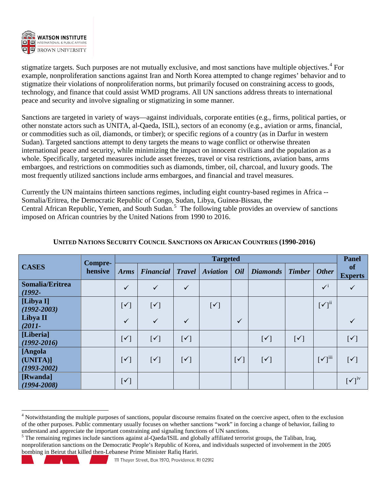

stigmatize targets. Such purposes are not mutually exclusive, and most sanctions have multiple objectives.<sup>[4](#page-2-0)</sup> For example, nonproliferation sanctions against Iran and North Korea attempted to change regimes' behavior and to stigmatize their violations of nonproliferation norms, but primarily focused on constraining access to goods, technology, and finance that could assist WMD programs. All UN sanctions address threats to international peace and security and involve signaling or stigmatizing in some manner.

Sanctions are targeted in variety of ways—against individuals, corporate entities (e.g., firms, political parties, or other nonstate actors such as UNITA, al-Qaeda, ISIL), sectors of an economy (e.g., aviation or arms, financial, or commodities such as oil, diamonds, or timber); or specific regions of a country (as in Darfur in western Sudan). Targeted sanctions attempt to deny targets the means to wage conflict or otherwise threaten international peace and security, while minimizing the impact on innocent civilians and the population as a whole. Specifically, targeted measures include asset freezes, travel or visa restrictions, aviation bans, arms embargoes, and restrictions on commodities such as diamonds, timber, oil, charcoal, and luxury goods. The most frequently utilized sanctions include arms embargoes, and financial and travel measures.

Currently the UN maintains thirteen sanctions regimes, including eight country-based regimes in Africa -- Somalia/Eritrea, the Democratic Republic of Congo, Sudan, Libya, Guinea-Bissau, the Central African Republic, Yemen, and South Sudan.<sup>[5](#page-2-1)</sup> The following table provides an overview of sanctions imposed on African countries by the United Nations from 1990 to 2016.

|                                           | Compre-<br>hensive | <b>Targeted</b> |                  |                            |                 |                |                            |                |                                          | <b>Panel</b>                            |
|-------------------------------------------|--------------------|-----------------|------------------|----------------------------|-----------------|----------------|----------------------------|----------------|------------------------------------------|-----------------------------------------|
| <b>CASES</b>                              |                    | Arms            | <b>Financial</b> | <b>Travel</b>              | <b>Aviation</b> | <b>Oil</b>     | <b>Diamonds</b>            | <b>Timber</b>  | <b>Other</b>                             | of<br><b>Experts</b>                    |
| Somalia/Eritrea<br>$(1992 -$              |                    | $\checkmark$    | $\checkmark$     | $\checkmark$               |                 |                |                            |                | $\checkmark^{\rm i}$                     |                                         |
| [Libya I]<br>$(1992 - 2003)$              |                    | $[\checkmark]$  | $[\checkmark]$   |                            | $[\checkmark]$  |                |                            |                | $\left[\checkmark\right]^{ii}$           |                                         |
| Libya II<br>$(2011 -$                     |                    | $\checkmark$    | $\checkmark$     | $\checkmark$               |                 | $\checkmark$   |                            |                |                                          |                                         |
| [Liberia]<br>$(1992 - 2016)$              |                    | $[\checkmark]$  | $[\checkmark]$   | $[\checkmark]$             |                 |                | $[\checkmark]$             | $[\checkmark]$ |                                          | $[\checkmark]$                          |
| [Angola<br>$(UNITA)$ ]<br>$(1993 - 2002)$ |                    | $[\checkmark]$  | $[\checkmark]$   | $\lceil \checkmark \rceil$ |                 | $[\checkmark]$ | $\lceil \checkmark \rceil$ |                | $\left[\checkmark\right]$ <sup>iii</sup> | $\lceil \checkmark \rceil$              |
| [Rwanda]<br>$(1994 - 2008)$               |                    | $[\checkmark]$  |                  |                            |                 |                |                            |                |                                          | $\left[\mathbf{v}\right]$ <sup>iv</sup> |

### **UNITED NATIONS SECURITY COUNCIL SANCTIONS ON AFRICAN COUNTRIES (1990-2016)**

<span id="page-2-1"></span>nonproliferation sanctions on the Democratic People's Republic of Korea, and individuals suspected of involvement in the 2005 bombing in Beirut that killed then-Lebanese Prime Minister Rafiq Hariri.



<span id="page-2-0"></span><sup>&</sup>lt;sup>4</sup> Notwithstanding the multiple purposes of sanctions, popular discourse remains fixated on the coercive aspect, often to the exclusion of the other purposes. Public commentary usually focuses on whether sanctions "work" in forcing a change of behavior, failing to understand and appreciate the important constraining and signaling functions of UN sanctions.<br><sup>5</sup> The remaining regimes include sanctions against al-Qaeda/ISIL and globally affiliated terrorist groups, the Taliban, Iraq,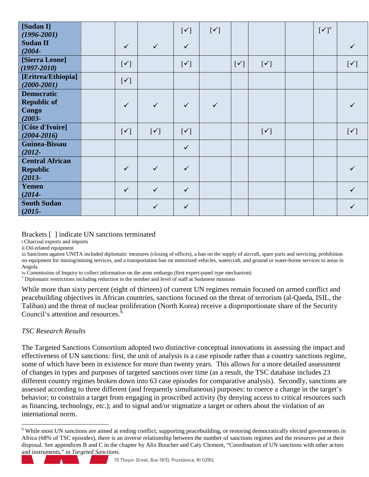| [Sudan I]<br>$(1996 - 2001)$                                  |                |                | $[\checkmark]$ | $[\checkmark]$ |                |                | $\left[\checkmark\right]^\mathrm{v}$ |                |
|---------------------------------------------------------------|----------------|----------------|----------------|----------------|----------------|----------------|--------------------------------------|----------------|
| <b>Sudan II</b><br>$(2004 -$                                  | $\checkmark$   | $\checkmark$   | $\checkmark$   |                |                |                |                                      |                |
| [Sierra Leone]<br>$(1997 - 2010)$                             | $[\checkmark]$ |                | $[\checkmark]$ |                | $[\checkmark]$ | $[\checkmark]$ |                                      | $[\checkmark]$ |
| [Eritrea/Ethiopia]<br>$(2000 - 2001)$                         | $[\checkmark]$ |                |                |                |                |                |                                      |                |
| <b>Democratic</b><br><b>Republic of</b><br>Congo<br>$(2003 -$ | $\checkmark$   | $\checkmark$   | $\checkmark$   | $\checkmark$   |                |                |                                      |                |
| [Côte d'Ivoire]<br>$(2004 - 2016)$                            | $[\checkmark]$ | $[\checkmark]$ | $[\checkmark]$ |                |                | $[\checkmark]$ |                                      | $[\checkmark]$ |
| Guinea-Bissau<br>$(2012 -$                                    |                |                | $\checkmark$   |                |                |                |                                      |                |
| <b>Central African</b><br><b>Republic</b><br>$(2013 -$        | $\checkmark$   | $\checkmark$   | $\checkmark$   |                |                |                |                                      |                |
| Yemen<br>$(2014 -$                                            | $\checkmark$   | $\checkmark$   | $\checkmark$   |                |                |                |                                      | $\checkmark$   |
| <b>South Sudan</b><br>$(2015 -$                               |                | $\checkmark$   | $\checkmark$   |                |                |                |                                      | $\checkmark$   |

Brackets [ ] indicate UN sanctions terminated

i Charcoal exports and imports

ii Oil-related equipment

iii Sanctions against UNITA included diplomatic measures (closing of offices), a ban on the supply of aircraft, spare parts and servicing, prohibition on equipment for mining/mining services, and a transportation ban on motorized vehicles, watercraft, and ground or water-borne services to areas in

Angola<br>iv Commission of Inquiry to collect information on the arms embargo (first expert-panel type mechanism)

<sup>v</sup> Diplomatic restrictions including reduction in the number and level of staff at Sudanese missions

While more than sixty percent (eight of thirteen) of current UN regimes remain focused on armed conflict and peacebuilding objectives in African countries, sanctions focused on the threat of terrorism (al-Qaeda, ISIL, the Taliban) and the threat of nuclear proliferation (North Korea) receive a disproportionate share of the Security Council's attention and resources.<sup>[6](#page-3-0)</sup>

### *TSC Research Results*

The Targeted Sanctions Consortium adopted two distinctive conceptual innovations in assessing the impact and effectiveness of UN sanctions: first, the unit of analysis is a case episode rather than a country sanctions regime, some of which have been in existence for more than twenty years. This allows for a more detailed assessment of changes in types and purposes of targeted sanctions over time (as a result, the TSC database includes 23 different country regimes broken down into 63 case episodes for comparative analysis). Secondly, sanctions are assessed according to three different (and frequently simultaneous) purposes: to coerce a change in the target's behavior; to constrain a target from engaging in proscribed activity (by denying access to critical resources such as financing, technology, etc.); and to signal and/or stigmatize a target or others about the violation of an international norm.

<span id="page-3-0"></span><sup>&</sup>lt;sup>6</sup> While most UN sanctions are aimed at ending conflict, supporting peacebuilding, or restoring democratically elected governments in Africa (68% of TSC episodes), there is an inverse relationship between the number of sanctions regimes and the resources put at their disposal. See appendices B and C in the chapter by Alix Boucher and Caty Clement, "Coordination of UN sanctions with other actors and instruments," in *Targeted Sanctions.*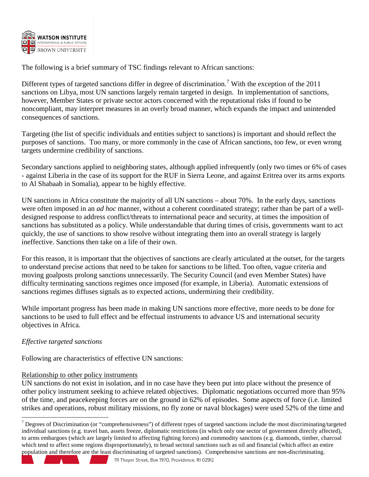

The following is a brief summary of TSC findings relevant to African sanctions:

Different types of targeted sanctions differ in degree of discrimination.<sup>[7](#page-4-0)</sup> With the exception of the 2011 sanctions on Libya, most UN sanctions largely remain targeted in design. In implementation of sanctions, however, Member States or private sector actors concerned with the reputational risks if found to be noncompliant, may interpret measures in an overly broad manner, which expands the impact and unintended consequences of sanctions.

Targeting (the list of specific individuals and entities subject to sanctions) is important and should reflect the purposes of sanctions. Too many, or more commonly in the case of African sanctions, too few, or even wrong targets undermine credibility of sanctions.

Secondary sanctions applied to neighboring states, although applied infrequently (only two times or 6% of cases - against Liberia in the case of its support for the RUF in Sierra Leone, and against Eritrea over its arms exports to Al Shabaab in Somalia), appear to be highly effective.

UN sanctions in Africa constitute the majority of all UN sanctions – about 70%. In the early days, sanctions were often imposed in an *ad hoc* manner, without a coherent coordinated strategy; rather than be part of a welldesigned response to address conflict/threats to international peace and security, at times the imposition of sanctions has substituted as a policy. While understandable that during times of crisis, governments want to act quickly, the use of sanctions to show resolve without integrating them into an overall strategy is largely ineffective. Sanctions then take on a life of their own.

For this reason, it is important that the objectives of sanctions are clearly articulated at the outset, for the targets to understand precise actions that need to be taken for sanctions to be lifted. Too often, vague criteria and moving goalposts prolong sanctions unnecessarily. The Security Council (and even Member States) have difficulty terminating sanctions regimes once imposed (for example, in Liberia). Automatic extensions of sanctions regimes diffuses signals as to expected actions, undermining their credibility.

While important progress has been made in making UN sanctions more effective, more needs to be done for sanctions to be used to full effect and be effectual instruments to advance US and international security objectives in Africa.

#### *Effective targeted sanctions*

Following are characteristics of effective UN sanctions:

#### Relationship to other policy instruments

UN sanctions do not exist in isolation, and in no case have they been put into place without the presence of other policy instrument seeking to achieve related objectives. Diplomatic negotiations occurred more than 95% of the time, and peacekeeping forces are on the ground in 62% of episodes. Some aspects of force (i.e. limited strikes and operations, robust military missions, no fly zone or naval blockages) were used 52% of the time and

<span id="page-4-0"></span> $<sup>7</sup>$  Degrees of Discrimination (or "comprehensiveness") of different types of targeted sanctions include the most discriminating/targeted</sup> individual sanctions (e.g. travel ban, assets freeze, diplomatic restrictions (in which only one sector of government directly affected), to arms embargoes (which are largely limited to affecting fighting forces) and commodity sanctions (e.g. diamonds, timber, charcoal which tend to affect some regions disproportionately), to broad sectoral sanctions such as oil and financial (which affect an entire population and therefore are the least discriminating of targeted sanctions). Comprehensive sanctions are non-discriminating.

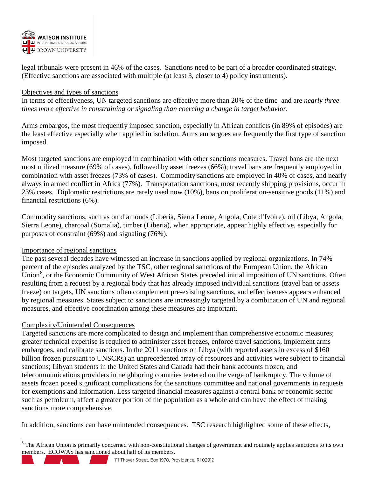

legal tribunals were present in 46% of the cases. Sanctions need to be part of a broader coordinated strategy. (Effective sanctions are associated with multiple (at least 3, closer to 4) policy instruments).

#### Objectives and types of sanctions

In terms of effectiveness, UN targeted sanctions are effective more than 20% of the time and are *nearly three times more effective in constraining or signaling than coercing a change in target behavior.*

Arms embargos, the most frequently imposed sanction, especially in African conflicts (in 89% of episodes) are the least effective especially when applied in isolation. Arms embargoes are frequently the first type of sanction imposed.

Most targeted sanctions are employed in combination with other sanctions measures. Travel bans are the next most utilized measure (69% of cases), followed by asset freezes (66%); travel bans are frequently employed in combination with asset freezes (73% of cases). Commodity sanctions are employed in 40% of cases, and nearly always in armed conflict in Africa (77%). Transportation sanctions, most recently shipping provisions, occur in 23% cases. Diplomatic restrictions are rarely used now (10%), bans on proliferation-sensitive goods (11%) and financial restrictions (6%).

Commodity sanctions, such as on diamonds (Liberia, Sierra Leone, Angola, Cote d'Ivoire), oil (Libya, Angola, Sierra Leone), charcoal (Somalia), timber (Liberia), when appropriate, appear highly effective, especially for purposes of constraint (69%) and signaling (76%).

#### Importance of regional sanctions

The past several decades have witnessed an increase in sanctions applied by regional organizations. In 74% percent of the episodes analyzed by the TSC, other regional sanctions of the European Union, the African Union<sup>[8](#page-5-0)</sup>, or the Economic Community of West African States preceded initial imposition of UN sanctions. Often resulting from a request by a regional body that has already imposed individual sanctions (travel ban or assets freeze) on targets, UN sanctions often complement pre-existing sanctions, and effectiveness appears enhanced by regional measures. States subject to sanctions are increasingly targeted by a combination of UN and regional measures, and effective coordination among these measures are important.

#### Complexity/Unintended Consequences

Targeted sanctions are more complicated to design and implement than comprehensive economic measures; greater technical expertise is required to administer asset freezes, enforce travel sanctions, implement arms embargoes, and calibrate sanctions. In the 2011 sanctions on Libya (with reported assets in excess of \$160 billion frozen pursuant to UNSCRs) an unprecedented array of resources and activities were subject to financial sanctions; Libyan students in the United States and Canada had their bank accounts frozen, and telecommunications providers in neighboring countries teetered on the verge of bankruptcy. The volume of assets frozen posed significant complications for the sanctions committee and national governments in requests for exemptions and information. Less targeted financial measures against a central bank or economic sector such as petroleum, affect a greater portion of the population as a whole and can have the effect of making sanctions more comprehensive.

In addition, sanctions can have unintended consequences. TSC research highlighted some of these effects,

<span id="page-5-0"></span> $8$  The African Union is primarily concerned with non-constitutional changes of government and routinely applies sanctions to its own members. ECOWAS has sanctioned about half of its members.

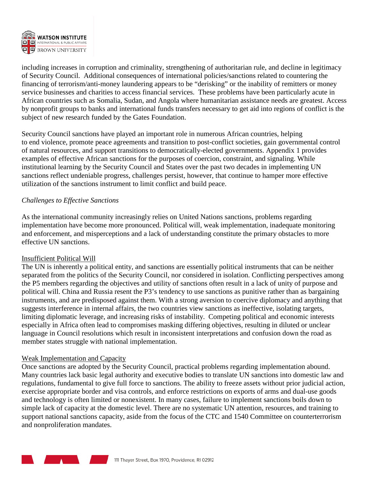

including increases in corruption and criminality, strengthening of authoritarian rule, and decline in legitimacy of Security Council. Additional consequences of international policies/sanctions related to countering the financing of terrorism/anti-money laundering appears to be "derisking" or the inability of remitters or money service businesses and charities to access financial services. These problems have been particularly acute in African countries such as Somalia, Sudan, and Angola where humanitarian assistance needs are greatest. Access by nonprofit groups to banks and international funds transfers necessary to get aid into regions of conflict is the subject of new research funded by the Gates Foundation.

Security Council sanctions have played an important role in numerous African countries, helping to end violence, promote peace agreements and transition to post-conflict societies, gain governmental control of natural resources, and support transitions to democratically-elected governments. Appendix 1 provides examples of effective African sanctions for the purposes of coercion, constraint, and signaling. While institutional learning by the Security Council and States over the past two decades in implementing UN sanctions reflect undeniable progress, challenges persist, however, that continue to hamper more effective utilization of the sanctions instrument to limit conflict and build peace.

#### *Challenges to Effective Sanctions*

As the international community increasingly relies on United Nations sanctions, problems regarding implementation have become more pronounced. Political will, weak implementation, inadequate monitoring and enforcement, and misperceptions and a lack of understanding constitute the primary obstacles to more effective UN sanctions.

#### Insufficient Political Will

The UN is inherently a political entity, and sanctions are essentially political instruments that can be neither separated from the politics of the Security Council, nor considered in isolation. Conflicting perspectives among the P5 members regarding the objectives and utility of sanctions often result in a lack of unity of purpose and political will. China and Russia resent the P3's tendency to use sanctions as punitive rather than as bargaining instruments, and are predisposed against them. With a strong aversion to coercive diplomacy and anything that suggests interference in internal affairs, the two countries view sanctions as ineffective, isolating targets, limiting diplomatic leverage, and increasing risks of instability. Competing political and economic interests especially in Africa often lead to compromises masking differing objectives, resulting in diluted or unclear language in Council resolutions which result in inconsistent interpretations and confusion down the road as member states struggle with national implementation.

#### Weak Implementation and Capacity

Once sanctions are adopted by the Security Council, practical problems regarding implementation abound. Many countries lack basic legal authority and executive bodies to translate UN sanctions into domestic law and regulations, fundamental to give full force to sanctions. The ability to freeze assets without prior judicial action, exercise appropriate border and visa controls, and enforce restrictions on exports of arms and dual-use goods and technology is often limited or nonexistent. In many cases, failure to implement sanctions boils down to simple lack of capacity at the domestic level. There are no systematic UN attention, resources, and training to support national sanctions capacity, aside from the focus of the CTC and 1540 Committee on counterterrorism and nonproliferation mandates.

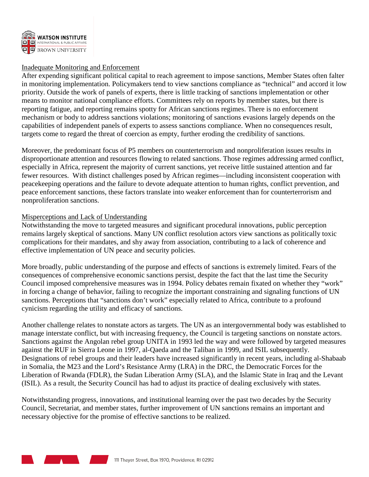

#### Inadequate Monitoring and Enforcement

After expending significant political capital to reach agreement to impose sanctions, Member States often falter in monitoring implementation. Policymakers tend to view sanctions compliance as "technical" and accord it low priority. Outside the work of panels of experts, there is little tracking of sanctions implementation or other means to monitor national compliance efforts. Committees rely on reports by member states, but there is reporting fatigue, and reporting remains spotty for African sanctions regimes. There is no enforcement mechanism or body to address sanctions violations; monitoring of sanctions evasions largely depends on the capabilities of independent panels of experts to assess sanctions compliance. When no consequences result, targets come to regard the threat of coercion as empty, further eroding the credibility of sanctions.

Moreover, the predominant focus of P5 members on counterterrorism and nonproliferation issues results in disproportionate attention and resources flowing to related sanctions. Those regimes addressing armed conflict, especially in Africa, represent the majority of current sanctions, yet receive little sustained attention and far fewer resources. With distinct challenges posed by African regimes—including inconsistent cooperation with peacekeeping operations and the failure to devote adequate attention to human rights, conflict prevention, and peace enforcement sanctions, these factors translate into weaker enforcement than for counterterrorism and nonproliferation sanctions.

#### Misperceptions and Lack of Understanding

Notwithstanding the move to targeted measures and significant procedural innovations, public perception remains largely skeptical of sanctions. Many UN conflict resolution actors view sanctions as politically toxic complications for their mandates, and shy away from association, contributing to a lack of coherence and effective implementation of UN peace and security policies.

More broadly, public understanding of the purpose and effects of sanctions is extremely limited. Fears of the consequences of comprehensive economic sanctions persist, despite the fact that the last time the Security Council imposed comprehensive measures was in 1994. Policy debates remain fixated on whether they "work" in forcing a change of behavior, failing to recognize the important constraining and signaling functions of UN sanctions. Perceptions that "sanctions don't work" especially related to Africa, contribute to a profound cynicism regarding the utility and efficacy of sanctions.

Another challenge relates to nonstate actors as targets. The UN as an intergovernmental body was established to manage interstate conflict, but with increasing frequency, the Council is targeting sanctions on nonstate actors. Sanctions against the Angolan rebel group UNITA in 1993 led the way and were followed by targeted measures against the RUF in Sierra Leone in 1997, al-Qaeda and the Taliban in 1999, and ISIL subsequently. Designations of rebel groups and their leaders have increased significantly in recent years, including al-Shabaab in Somalia, the M23 and the Lord's Resistance Army (LRA) in the DRC, the Democratic Forces for the Liberation of Rwanda (FDLR), the Sudan Liberation Army (SLA), and the Islamic State in Iraq and the Levant (ISIL). As a result, the Security Council has had to adjust its practice of dealing exclusively with states.

Notwithstanding progress, innovations, and institutional learning over the past two decades by the Security Council, Secretariat, and member states, further improvement of UN sanctions remains an important and necessary objective for the promise of effective sanctions to be realized.

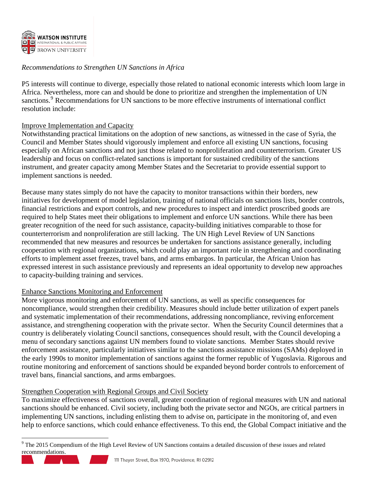

#### *Recommendations to Strengthen UN Sanctions in Africa*

P5 interests will continue to diverge, especially those related to national economic interests which loom large in Africa. Nevertheless, more can and should be done to prioritize and strengthen the implementation of UN sanctions.<sup>[9](#page-8-0)</sup> Recommendations for UN sanctions to be more effective instruments of international conflict resolution include:

#### Improve Implementation and Capacity

Notwithstanding practical limitations on the adoption of new sanctions, as witnessed in the case of Syria, the Council and Member States should vigorously implement and enforce all existing UN sanctions, focusing especially on African sanctions and not just those related to nonproliferation and counterterrorism. Greater US leadership and focus on conflict-related sanctions is important for sustained credibility of the sanctions instrument, and greater capacity among Member States and the Secretariat to provide essential support to implement sanctions is needed.

Because many states simply do not have the capacity to monitor transactions within their borders, new initiatives for development of model legislation, training of national officials on sanctions lists, border controls, financial restrictions and export controls, and new procedures to inspect and interdict proscribed goods are required to help States meet their obligations to implement and enforce UN sanctions. While there has been greater recognition of the need for such assistance, capacity-building initiatives comparable to those for counterterrorism and nonproliferation are still lacking. The UN High Level Review of UN Sanctions recommended that new measures and resources be undertaken for sanctions assistance generally, including cooperation with regional organizations, which could play an important role in strengthening and coordinating efforts to implement asset freezes, travel bans, and arms embargos. In particular, the African Union has expressed interest in such assistance previously and represents an ideal opportunity to develop new approaches to capacity-building training and services.

#### Enhance Sanctions Monitoring and Enforcement

More vigorous monitoring and enforcement of UN sanctions, as well as specific consequences for noncompliance, would strengthen their credibility. Measures should include better utilization of expert panels and systematic implementation of their recommendations, addressing noncompliance, reviving enforcement assistance, and strengthening cooperation with the private sector. When the Security Council determines that a country is deliberately violating Council sanctions, consequences should result, with the Council developing a menu of secondary sanctions against UN members found to violate sanctions. Member States should revive enforcement assistance, particularly initiatives similar to the sanctions assistance missions (SAMs) deployed in the early 1990s to monitor implementation of sanctions against the former republic of Yugoslavia. Rigorous and routine monitoring and enforcement of sanctions should be expanded beyond border controls to enforcement of travel bans, financial sanctions, and arms embargoes.

#### Strengthen Cooperation with Regional Groups and Civil Society

To maximize effectiveness of sanctions overall, greater coordination of regional measures with UN and national sanctions should be enhanced. Civil society, including both the private sector and NGOs, are critical partners in implementing UN sanctions, including enlisting them to advise on, participate in the monitoring of, and even help to enforce sanctions, which could enhance effectiveness. To this end, the Global Compact initiative and the

<span id="page-8-0"></span> $9$  The 2015 Compendium of the High Level Review of UN Sanctions contains a detailed discussion of these issues and related recommendations.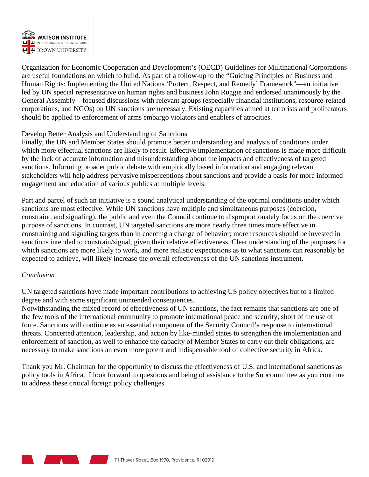

Organization for Economic Cooperation and Development's (OECD) Guidelines for Multinational Corporations are useful foundations on which to build. As part of a follow-up to the "Guiding Principles on Business and Human Rights: Implementing the United Nations 'Protect, Respect, and Remedy' Framework"—an initiative led by UN special representative on human rights and business John Ruggie and endorsed unanimously by the General Assembly—focused discussions with relevant groups (especially financial institutions, resource-related corporations, and NGOs) on UN sanctions are necessary. Existing capacities aimed at terrorists and proliferators should be applied to enforcement of arms embargo violators and enablers of atrocities.

#### Develop Better Analysis and Understanding of Sanctions

Finally, the UN and Member States should promote better understanding and analysis of conditions under which more effectual sanctions are likely to result. Effective implementation of sanctions is made more difficult by the lack of accurate information and misunderstanding about the impacts and effectiveness of targeted sanctions. Informing broader public debate with empirically based information and engaging relevant stakeholders will help address pervasive misperceptions about sanctions and provide a basis for more informed engagement and education of various publics at multiple levels.

Part and parcel of such an initiative is a sound analytical understanding of the optimal conditions under which sanctions are most effective. While UN sanctions have multiple and simultaneous purposes (coercion, constraint, and signaling), the public and even the Council continue to disproportionately focus on the coercive purpose of sanctions. In contrast, UN targeted sanctions are more nearly three times more effective in constraining and signaling targets than in coercing a change of behavior; more resources should be invested in sanctions intended to constrain/signal, given their relative effectiveness. Clear understanding of the purposes for which sanctions are more likely to work, and more realistic expectations as to what sanctions can reasonably be expected to achieve, will likely increase the overall effectiveness of the UN sanctions instrument.

#### *Conclusion*

UN targeted sanctions have made important contributions to achieving US policy objectives but to a limited degree and with some significant unintended consequences.

Notwithstanding the mixed record of effectiveness of UN sanctions, the fact remains that sanctions are one of the few tools of the international community to promote international peace and security, short of the use of force. Sanctions will continue as an essential component of the Security Council's response to international threats. Concerted attention, leadership, and action by like-minded states to strengthen the implementation and enforcement of sanction, as well to enhance the capacity of Member States to carry out their obligations, are necessary to make sanctions an even more potent and indispensable tool of collective security in Africa.

Thank you Mr. Chairman for the opportunity to discuss the effectiveness of U.S. and international sanctions as policy tools in Africa. I look forward to questions and being of assistance to the Subcommittee as you continue to address these critical foreign policy challenges.

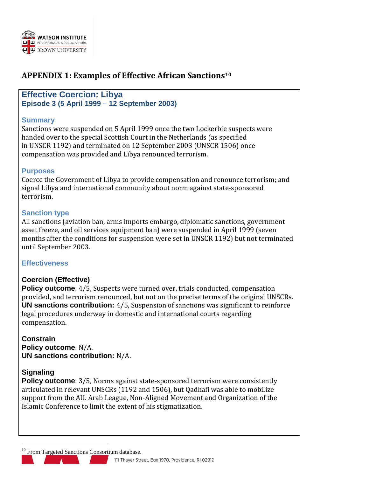

# **APPENDIX 1: Examples of Effective African Sanctions[10](#page-10-0)**

### **Effective Coercion: Libya Episode 3 (5 April 1999 – 12 September 2003)**

#### **Summary**

Sanctions were suspended on 5 April 1999 once the two Lockerbie suspects were handed over to the special Scottish Court in the Netherlands (as specified in UNSCR 1192) and terminated on 12 September 2003 (UNSCR 1506) once compensation was provided and Libya renounced terrorism.

#### **Purposes**

Coerce the Government of Libya to provide compensation and renounce terrorism; and signal Libya and international community about norm against state-sponsored terrorism.

#### **Sanction type**

All sanctions (aviation ban, arms imports embargo, diplomatic sanctions, government asset freeze, and oil services equipment ban) were suspended in April 1999 (seven months after the conditions for suspension were set in UNSCR 1192) but not terminated until September 2003.

### **Effectiveness**

### **Coercion (Effective)**

**Policy outcome**: 4/5, Suspects were turned over, trials conducted, compensation provided, and terrorism renounced, but not on the precise terms of the original UNSCRs. **UN sanctions contribution:** 4/5, Suspension of sanctions was significant to reinforce legal procedures underway in domestic and international courts regarding compensation.

**Constrain Policy outcome**: N/A. **UN sanctions contribution:** N/A.

## **Signaling**

**Policy outcome**: 3/5, Norms against state-sponsored terrorism were consistently articulated in relevant UNSCRs (1192 and 1506), but Qadhafi was able to mobilize support from the AU. Arab League, Non-Aligned Movement and Organization of the Islamic Conference to limit the extent of his stigmatization.

<span id="page-10-0"></span><sup>10</sup> From Targeted Sanctions Consortium database.

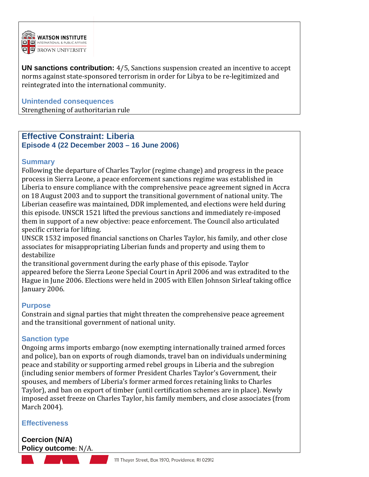

**UN sanctions contribution:** 4/5, Sanctions suspension created an incentive to accept norms against state-sponsored terrorism in order for Libya to be re-legitimized and reintegrated into the international community.

#### **Unintended consequences** Strengthening of authoritarian rule

### **Effective Constraint: Liberia Episode 4 (22 December 2003 – 16 June 2006)**

### **Summary**

Following the departure of Charles Taylor (regime change) and progress in the peace process in Sierra Leone, a peace enforcement sanctions regime was established in Liberia to ensure compliance with the comprehensive peace agreement signed in Accra on 18 August 2003 and to support the transitional government of national unity. The Liberian ceasefire was maintained, DDR implemented, and elections were held during this episode. UNSCR 1521 lifted the previous sanctions and immediately re-imposed them in support of a new objective: peace enforcement. The Council also articulated specific criteria for lifting.

UNSCR 1532 imposed financial sanctions on Charles Taylor, his family, and other close associates for misappropriating Liberian funds and property and using them to destabilize

the transitional government during the early phase of this episode. Taylor appeared before the Sierra Leone Special Court in April 2006 and was extradited to the Hague in June 2006. Elections were held in 2005 with Ellen Johnson Sirleaf taking office January 2006.

## **Purpose**

Constrain and signal parties that might threaten the comprehensive peace agreement and the transitional government of national unity.

## **Sanction type**

Ongoing arms imports embargo (now exempting internationally trained armed forces and police), ban on exports of rough diamonds, travel ban on individuals undermining peace and stability or supporting armed rebel groups in Liberia and the subregion (including senior members of former President Charles Taylor's Government, their spouses, and members of Liberia's former armed forces retaining links to Charles Taylor), and ban on export of timber (until certification schemes are in place). Newly imposed asset freeze on Charles Taylor, his family members, and close associates (from March 2004).

### **Effectiveness**

**Coercion (N/A) Policy outcome**: N/A.

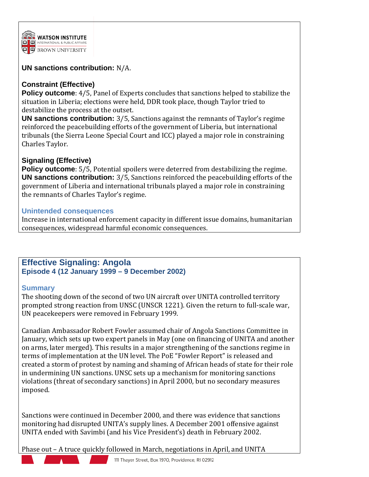

**UN sanctions contribution:** N/A.

### **Constraint (Effective)**

**Policy outcome**: 4/5, Panel of Experts concludes that sanctions helped to stabilize the situation in Liberia; elections were held, DDR took place, though Taylor tried to destabilize the process at the outset.

**UN sanctions contribution:** 3/5, Sanctions against the remnants of Taylor's regime reinforced the peacebuilding efforts of the government of Liberia, but international tribunals (the Sierra Leone Special Court and ICC) played a major role in constraining Charles Taylor.

### **Signaling (Effective)**

**Policy outcome**: 5/5, Potential spoilers were deterred from destabilizing the regime. **UN sanctions contribution:** 3/5, Sanctions reinforced the peacebuilding efforts of the government of Liberia and international tribunals played a major role in constraining the remnants of Charles Taylor's regime.

#### **Unintended consequences**

Increase in international enforcement capacity in different issue domains, humanitarian consequences, widespread harmful economic consequences.

### **Effective Signaling: Angola Episode 4 (12 January 1999 – 9 December 2002)**

### **Summary**

The shooting down of the second of two UN aircraft over UNITA controlled territory prompted strong reaction from UNSC (UNSCR 1221). Given the return to full-scale war, UN peacekeepers were removed in February 1999.

Canadian Ambassador Robert Fowler assumed chair of Angola Sanctions Committee in January, which sets up two expert panels in May (one on financing of UNITA and another on arms, later merged). This results in a major strengthening of the sanctions regime in terms of implementation at the UN level. The PoE "Fowler Report" is released and created a storm of protest by naming and shaming of African heads of state for their role in undermining UN sanctions. UNSC sets up a mechanism for monitoring sanctions violations (threat of secondary sanctions) in April 2000, but no secondary measures imposed.

Sanctions were continued in December 2000, and there was evidence that sanctions monitoring had disrupted UNITA's supply lines. A December 2001 offensive against UNITA ended with Savimbi (and his Vice President's) death in February 2002.

Phase out – A truce quickly followed in March, negotiations in April, and UNITA

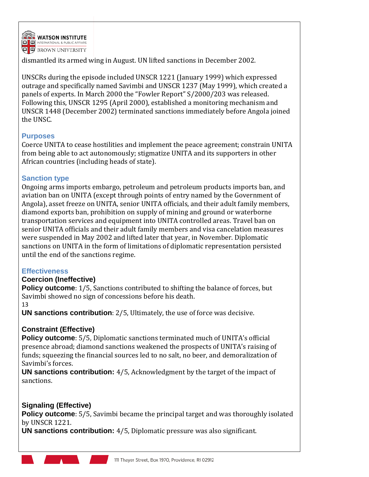

dismantled its armed wing in August. UN lifted sanctions in December 2002.

UNSCRs during the episode included UNSCR 1221 (January 1999) which expressed outrage and specifically named Savimbi and UNSCR 1237 (May 1999), which created a panels of experts. In March 2000 the "Fowler Report" S/2000/203 was released. Following this, UNSCR 1295 (April 2000), established a monitoring mechanism and UNSCR 1448 (December 2002) terminated sanctions immediately before Angola joined the UNSC.

### **Purposes**

Coerce UNITA to cease hostilities and implement the peace agreement; constrain UNITA from being able to act autonomously; stigmatize UNITA and its supporters in other African countries (including heads of state).

### **Sanction type**

Ongoing arms imports embargo, petroleum and petroleum products imports ban, and aviation ban on UNITA (except through points of entry named by the Government of Angola), asset freeze on UNITA, senior UNITA officials, and their adult family members, diamond exports ban, prohibition on supply of mining and ground or waterborne transportation services and equipment into UNITA controlled areas. Travel ban on senior UNITA officials and their adult family members and visa cancelation measures were suspended in May 2002 and lifted later that year, in November. Diplomatic sanctions on UNITA in the form of limitations of diplomatic representation persisted until the end of the sanctions regime.

### **Effectiveness**

## **Coercion (Ineffective)**

**Policy outcome**: 1/5, Sanctions contributed to shifting the balance of forces, but Savimbi showed no sign of concessions before his death.

13

**UN sanctions contribution**: 2/5, Ultimately, the use of force was decisive.

## **Constraint (Effective)**

**Policy outcome**: 5/5, Diplomatic sanctions terminated much of UNITA's official presence abroad; diamond sanctions weakened the prospects of UNITA's raising of funds; squeezing the financial sources led to no salt, no beer, and demoralization of Savimbi's forces.

**UN sanctions contribution:** 4/5, Acknowledgment by the target of the impact of sanctions.

## **Signaling (Effective)**

**Policy outcome**: 5/5, Savimbi became the principal target and was thoroughly isolated by UNSCR 1221.

**UN sanctions contribution:** 4/5, Diplomatic pressure was also significant.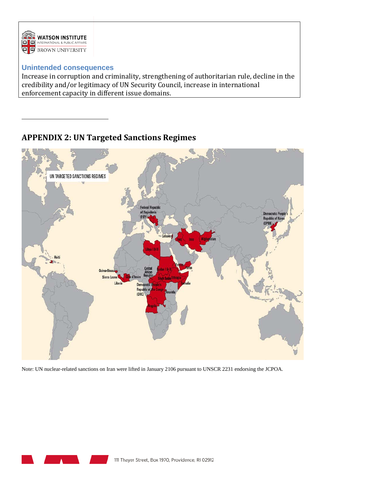

 $\overline{a}$ 

### **Unintended consequences**

Increase in corruption and criminality, strengthening of authoritarian rule, decline in the credibility and/or legitimacy of UN Security Council, increase in international enforcement capacity in different issue domains.

# **APPENDIX 2: UN Targeted Sanctions Regimes**



Note: UN nuclear-related sanctions on Iran were lifted in January 2106 pursuant to UNSCR 2231 endorsing the JCPOA.

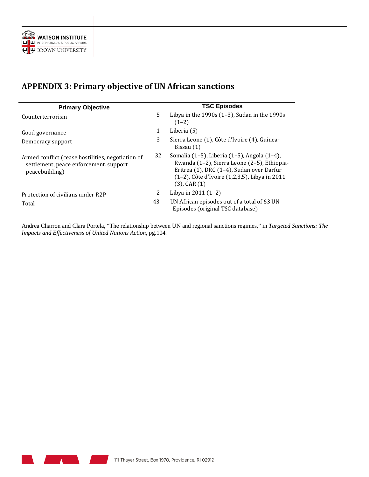

# **APPENDIX 3: Primary objective of UN African sanctions**

<span id="page-15-2"></span><span id="page-15-1"></span><span id="page-15-0"></span>

| <b>Primary Objective</b>                                                                                      | <b>TSC Episodes</b> |                                                                                                                                                                                                               |  |  |  |
|---------------------------------------------------------------------------------------------------------------|---------------------|---------------------------------------------------------------------------------------------------------------------------------------------------------------------------------------------------------------|--|--|--|
| Counterterrorism                                                                                              | 5                   | Libya in the 1990s $(1-3)$ , Sudan in the 1990s<br>$(1-2)$                                                                                                                                                    |  |  |  |
| Good governance                                                                                               | 1                   | Liberia (5)                                                                                                                                                                                                   |  |  |  |
| Democracy support                                                                                             | 3                   | Sierra Leone (1), Côte d'Ivoire (4), Guinea-<br>Bissau $(1)$                                                                                                                                                  |  |  |  |
| Armed conflict (cease hostilities, negotiation of<br>settlement, peace enforcement. support<br>peacebuilding) | 32                  | Somalia (1–5), Liberia (1–5), Angola (1–4),<br>Rwanda (1-2), Sierra Leone (2-5), Ethiopia-<br>Eritrea (1), DRC (1-4), Sudan over Darfur<br>(1-2), Côte d'Ivoire (1,2,3,5), Libya in 2011<br>$(3)$ , CAR $(1)$ |  |  |  |
| Protection of civilians under R2P                                                                             | 2                   | Libya in $2011(1-2)$                                                                                                                                                                                          |  |  |  |
| Total                                                                                                         | 43                  | UN African episodes out of a total of 63 UN<br>Episodes (original TSC database)                                                                                                                               |  |  |  |

<span id="page-15-3"></span>Andrea Charron and Clara Portela, "The relationship between UN and regional sanctions regimes," in *Targeted Sanctions: The Impacts and Effectiveness of United Nations Action*, pg.104*.*

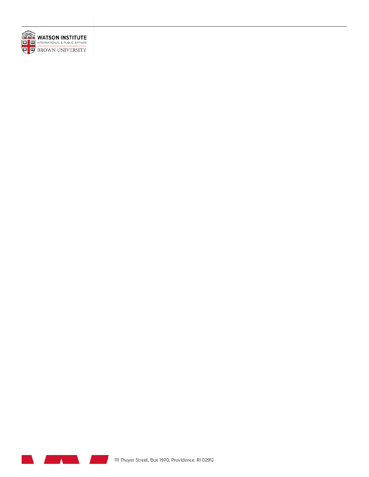

<span id="page-16-0"></span>**START START**